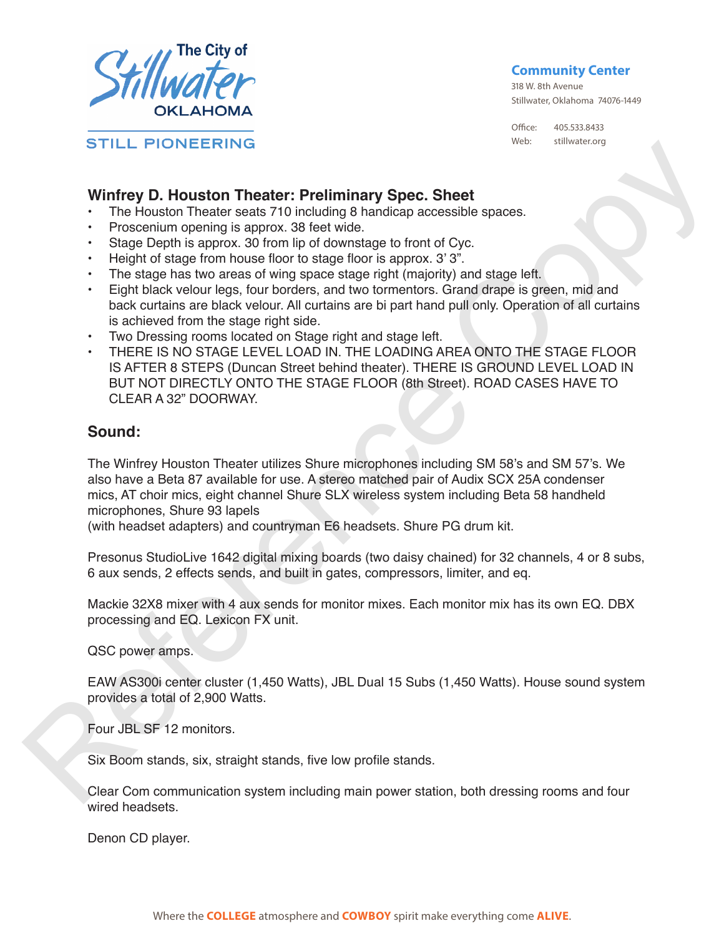

**Community Center**

318 W. 8th Avenue Stillwater, Oklahoma 74076-1449

Office: 405.533.8433 Web: stillwater.org

## **Winfrey D. Houston Theater: Preliminary Spec. Sheet**

- The Houston Theater seats 710 including 8 handicap accessible spaces.
- Proscenium opening is approx. 38 feet wide.
- Stage Depth is approx. 30 from lip of downstage to front of Cyc.
- Height of stage from house floor to stage floor is approx. 3' 3".
- The stage has two areas of wing space stage right (majority) and stage left.
- Eight black velour legs, four borders, and two tormentors. Grand drape is green, mid and back curtains are black velour. All curtains are bi part hand pull only. Operation of all curtains is achieved from the stage right side.
- Two Dressing rooms located on Stage right and stage left.
- THERE IS NO STAGE LEVEL LOAD IN. THE LOADING AREA ONTO THE STAGE FLOOR IS AFTER 8 STEPS (Duncan Street behind theater). THERE IS GROUND LEVEL LOAD IN BUT NOT DIRECTLY ONTO THE STAGE FLOOR (8th Street). ROAD CASES HAVE TO CLEAR A 32" DOORWAY. STILL PIONEERING<br>
Writtery D. Houstern Theater: Prelliminary Spec. Shee<br>
Writtery D. Houstern Theoretics and Computer and Copyright and Copyright and the State of the State Copyright and the Copyright and the Copyright and

## **Sound:**

The Winfrey Houston Theater utilizes Shure microphones including SM 58's and SM 57's. We also have a Beta 87 available for use. A stereo matched pair of Audix SCX 25A condenser mics, AT choir mics, eight channel Shure SLX wireless system including Beta 58 handheld microphones, Shure 93 lapels

(with headset adapters) and countryman E6 headsets. Shure PG drum kit.

Presonus StudioLive 1642 digital mixing boards (two daisy chained) for 32 channels, 4 or 8 subs, 6 aux sends, 2 effects sends, and built in gates, compressors, limiter, and eq.

Mackie 32X8 mixer with 4 aux sends for monitor mixes. Each monitor mix has its own EQ. DBX processing and EQ. Lexicon FX unit.

QSC power amps.

EAW AS300i center cluster (1,450 Watts), JBL Dual 15 Subs (1,450 Watts). House sound system provides a total of 2,900 Watts.

Four JBL SF 12 monitors.

Six Boom stands, six, straight stands, five low profile stands.

Clear Com communication system including main power station, both dressing rooms and four wired headsets.

Denon CD player.